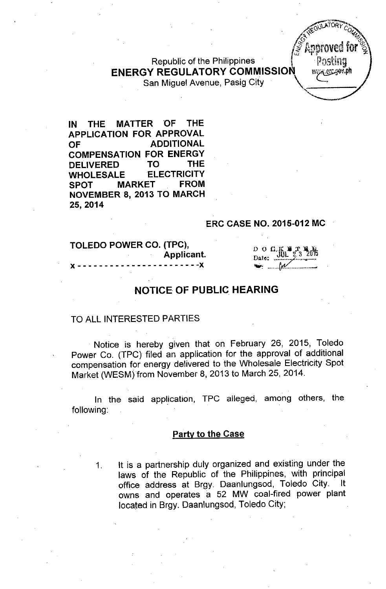Republic of the Philippines ENERGY REGULATORY COMMISSION WERE COMP San Miguel Avenue, Pasig City \ L:;

IN THE MATTER 'OF THE APPLICATION FOR APPROVAL OF ADDITIONAL COMPENSATION FOR ENERGY DELIVERED TO THE WHOLESALE ELECTRICITY SPOT MARKET FROM NOVEMBER 8, 2013 TO MARCH 25,2014

#### ERC CASE NO. 2015-012 MC

TOLEDO POWER CO. (TPC), Applicant.  $- - x$ 

D O C K F T B B  $\mathcal{M}$ 

**COLATORY** 

o '?<  $\mathcal{L}_{\mathbf{a}}$ ,  $\mathcal{L}_{\mathbf{a}}$ ,  $\mathcal{L}_{\mathbf{a}}$ ,  $\mathcal{L}_{\mathbf{a}}$ 

 $15 \times 15$  kpproved for  $20$ 

*'*~4'

*" ,..~*

"

*B*

i<br>Santa<br>Santa

## NOTICE OF PUBLIC HEARING

#### TO ALL INTERESTED PARTIES

Notice is hereby given that on February 26, 2015, Toledo Power Co. (TPC) filed an application for the approval of additional compensation for energy delivered to the Wholesale Electricity Spot Market (WESM) from November 8, 2013 to March 25, 2014.

In the said application, TPC alleged, among others, the following:

### **Party to the Case**

1. It is a partnership duly organized and existing under the laws of the Republic of the Philippines, with principal office address at Brgy. Daanlungsod, Toledo City. It owns and operates a 52 MW coal-fired power plant located in Brgy. Daanlungsod, Toledo City;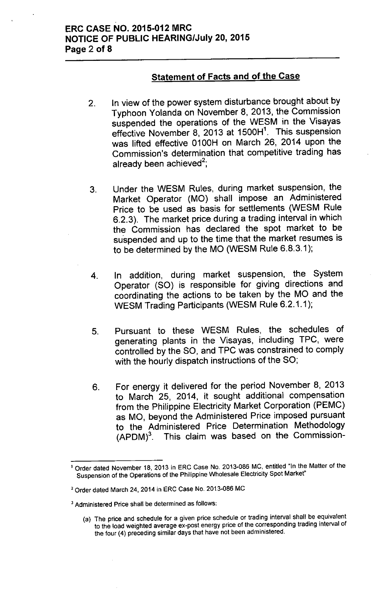# Statement of Facts and of the Case

- 2. In view of the power system disturbance brought about by Typhoon Yolanda on November 8, 2013, the Commission suspended the operations of the WESM in the Visayas effective November 8, 2013 at 1500H<sup>1</sup>. This suspension was lifted effective 0100H on March 26, 2014 upon the Commission's determination that competitive trading has already been achieved<sup>2</sup>
- 3. Under the WESM Rules, during market suspension, the Market Operator (MO) shall impose an Administered Price to be used as basis for settlements (WESM Rule 6.2.3). The market price during a trading interval in which the Commission has declared the spot market to be su'spended and up to the time that the market resumes is to be determined by the MO (WESM Rule 6.8.3.1);
- 4. In addition, during market suspension, the System Operator (SO) is responsible for giving directions and coordinating the actions to be taken by the MO and the WESM Trading Participants (WESM Rule 6.2.1.1);
- 5. Pursuant to these WESM Rules, the schedules of generating plants in the Visayas, including TPC, were controlled by the SO, and TPC was constrained to comply with the hourly dispatch instructions of the SO;
- 6. For energy it delivered for the period November 8, 2013 to March 25, 2014, it sought additional compensation from the Philippine Electricity Market Corporation (PEMC) as MO, beyond the Administered Price imposed pursuant to the Administered Price Determination Methodology (APDM)<sup>3</sup>. This claim was based on the Commission-

<sup>&</sup>lt;sup>1</sup> Order dated November 18, 2013 in ERC Case No. 2013-086 MC, entitled "In the Matter of the Suspension of the Operations of the Philippine Wholesale Electricity Spot Market"

<sup>2</sup> Order dated March 24, 2014 in ERC Case No. 2013-086 MC

<sup>3</sup> Administered Price shall be determined as follows:

<sup>(</sup>a) The price and schedule for a given price schedule or trading interval shall be equivalent to the load weighted average ex-post energy price of the corresponding trading interval of the four (4) preceding similar days that have not been administered.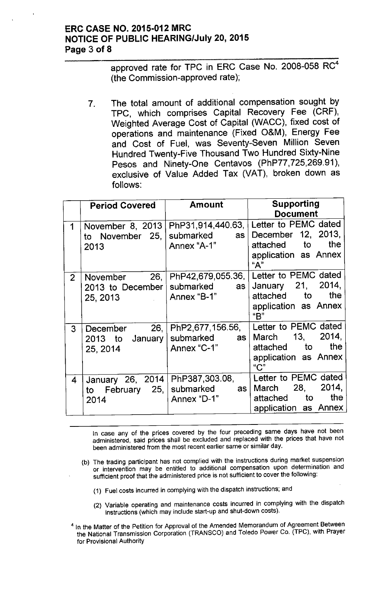## **ERC CASE NO. 2015-012 MRC NOTICE OF PUBLIC HEARING/July 20,2015 Page 3 of 8**

approved rate for TPC in ERC Case No. 2008-058 RC<sup>4</sup> (the Commission-approved rate);

7. The total amount of additional compensation sought by TPC, which comprises Capital Recovery Fee (CRF), Weighted Average Cost of Capital (WACC), fixed cost of operations and maintenance (Fixed O&M), Energy Fee and Cost of Fuel, was Seventy-Seven Million Seven Hundred Twenty-Five Thousand Two Hundred Sixty-Nine Pesos and Ninety-One Centavos (PhP77,725,269.91), exclusive of Value Added Tax (VAT), broken down as follows:

|                | <b>Period Covered</b>                                    | Amount                                                 | Supporting<br><b>Document</b>                                                                                                  |
|----------------|----------------------------------------------------------|--------------------------------------------------------|--------------------------------------------------------------------------------------------------------------------------------|
| 1              | November 8, 2013<br>to November 25, submarked as<br>2013 | Annex "A-1"                                            | PhP31,914,440.63,   Letter to PEMC dated<br>December 12, 2013,<br>attached to the<br>application as Annex<br>"А"               |
| 2 <sup>1</sup> | 2013 to December   submarked<br>25, 2013   Annex "B-1"   | as                                                     | November 26,   PhP42,679,055.36,   Letter to PEMC dated<br>January 21, 2014,<br>attached to the<br>application as Annex<br>"B" |
| 3 <sup>1</sup> | 2013 to January   submarked<br>25, 2014                  | December 26, PhP2,677,156.56,<br>as I<br>Annex "C-1"   | Letter to PEMC dated<br>2014,<br>March 13,<br>the<br>attached to<br>application as Annex<br>$C$ "                              |
| $\overline{4}$ | to February 25, submarked<br>2014                        | January 26, 2014   PhP387,303.08,<br>as<br>Annex "D-1" | Letter to PEMC dated<br>2014,<br>March 28,<br>the<br>attached to<br>application as Annex                                       |

In case any of the prices covered by the four preceding same days have not been administered, said prices shall be excluded and replaced with the prices that have not been administered from the most recent earlier same or similar day.

- (b) The trading participant has not complied with the instructions during market suspension or intervention may be entitled to additional compensation upon determination and sufficient proof that the administered price is not sufficient to cover the following:
	- (1) Fuel costs incurred in complying with the dispatch instructions; and
	- (2) Variable operating and maintenance costs incurred in complying with the dispatch instructions (which may include start-up and shut-down costs).
- <sup>4</sup> In the Matter of the Petition for Approval of the Amended Memorandum of Agreement Between the National Transmission Corporation (TRANSCO) and Toledo Power Co. (TPC), with Prayer for Provisional Authority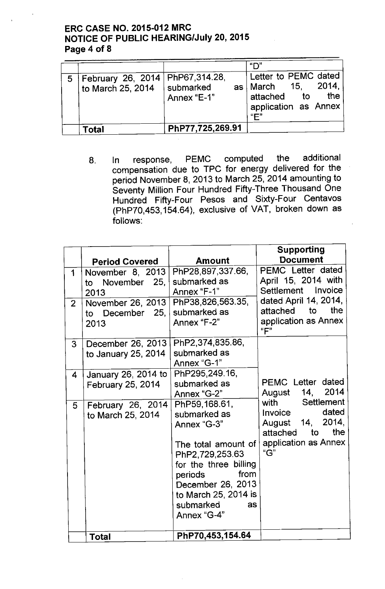# ERC CASE NO. 2015-012 MRC NOTICE OF PUBLIC HEARING/July 20, 2015 Page 4 of 8

| 5 <sup>1</sup> | February 26, 2014   PhP67, 314.28,<br>to March 25, 2014 | <b>Submarked</b><br>Annex "E-1" | "∩"<br>Letter to PEMC dated<br>as   March 15. 2014.<br>attached to<br>the |  |
|----------------|---------------------------------------------------------|---------------------------------|---------------------------------------------------------------------------|--|
|                |                                                         |                                 | application as Annex<br>"F"                                               |  |
|                | Total                                                   | PhP77,725,269.91                |                                                                           |  |

8. In response, PEMC computed the additional compensation due to TPC for energy delivered for the period November 8, 2013 to March 25, 2014 amounting to Seventy Million Four Hundred Fifty-Three Thousand One Hundred Fifty-Four Pesos and Sixty-Four Centavos (PhP70,453,154.64), exclusive of VAT, broken down as follows:

|                | <b>Period Covered</b>                          | <b>Amount</b>                                                                                                                                                                                                      | <b>Supporting</b><br><b>Document</b>                                                                            |
|----------------|------------------------------------------------|--------------------------------------------------------------------------------------------------------------------------------------------------------------------------------------------------------------------|-----------------------------------------------------------------------------------------------------------------|
| 1              | November 8, 2013<br>to November 25,<br>2013    | PhP28,897,337.66,<br>submarked as<br>Annex "F-1"                                                                                                                                                                   | PEMC Letter dated<br>April 15, 2014 with<br>Settlement Invoice                                                  |
| $\overline{2}$ | November 26, 2013<br>to December $25,$<br>2013 | PhP38,826,563.35,<br>submarked as<br>Annex "F-2"                                                                                                                                                                   | dated April 14, 2014,<br>attached to<br>the<br>application as Annex<br>"F"                                      |
| 3 <sup>1</sup> | December 26, 2013<br>to January 25, 2014       | PhP2,374,835.86,<br>submarked as<br>Annex "G-1"                                                                                                                                                                    |                                                                                                                 |
| 4              | January 26, 2014 to<br>February 25, 2014       | PhP295,249.16,<br>submarked as<br>Annex "G-2"                                                                                                                                                                      | PEMC Letter dated<br>August 14, 2014                                                                            |
| 5              | February 26, 2014<br>to March 25, 2014         | PhP59, 168.61,<br>submarked as<br>Annex "G-3"<br>The total amount of<br>PhP2,729,253.63<br>for the three billing<br>from<br>periods<br>December 26, 2013<br>to March 25, 2014 is<br>submarked<br>as<br>Annex "G-4" | with Settlement<br>dated<br>Invoice<br>August 14, 2014,<br>the<br>attached<br>to<br>application as Annex<br>"G" |
|                | <b>Total</b>                                   | PhP70,453,154.64                                                                                                                                                                                                   |                                                                                                                 |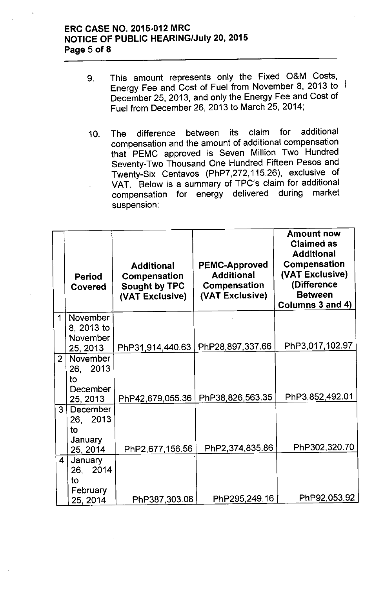## ERC CASE NO. 2015-012 MRC **NOTICE OF PUBLIC HEARING/July 20, 2015** Page 5 of 8

- 9. This amount represents only the Fixed O&M Costs, Energy Fee and Cost of Fuel from November 8, 2013 to December 25, 2013, and only the Energy Fee and Cost of Fuel from December 26,2013 to March 25,2014;
- 10. The difference between its claim for additional compensation and the amount of additional compensation that PEMC approved is Seven Million Two Hundred Seventy-Two Thousand One Hundred Fifteen Pesos and Twenty-Six Centavos (PhP7,272,115.26), exclusive of VAT. Below is a summary of TPC's claim for additional compensation for energy delivered during market suspension:

|                         | <b>Period</b><br>Covered | <b>Additional</b><br><b>Compensation</b><br><b>Sought by TPC</b><br>(VAT Exclusive) | <b>PEMC-Approved</b><br><b>Additional</b><br>Compensation<br>(VAT Exclusive) | <b>Amount now</b><br><b>Claimed as</b><br><b>Additional</b><br><b>Compensation</b><br>(VAT Exclusive)<br>(Difference<br><b>Between</b><br>Columns 3 and 4) |
|-------------------------|--------------------------|-------------------------------------------------------------------------------------|------------------------------------------------------------------------------|------------------------------------------------------------------------------------------------------------------------------------------------------------|
| 1                       | <b>November</b>          |                                                                                     |                                                                              |                                                                                                                                                            |
|                         | 8, 2013 to<br>November   |                                                                                     |                                                                              |                                                                                                                                                            |
|                         | 25, 2013                 | PhP31,914,440.63                                                                    | PhP28,897,337.66                                                             | PhP3,017,102.97                                                                                                                                            |
| $\overline{2}$          | November                 |                                                                                     |                                                                              |                                                                                                                                                            |
|                         | 26, 2013<br>to           |                                                                                     |                                                                              |                                                                                                                                                            |
|                         | December                 |                                                                                     |                                                                              |                                                                                                                                                            |
|                         | 25, 2013                 | PhP42,679,055.36                                                                    | PhP38,826,563.35                                                             | PhP3,852,492.01                                                                                                                                            |
| 3 <sup>1</sup>          | December                 |                                                                                     |                                                                              |                                                                                                                                                            |
|                         | 26, 2013<br>to           |                                                                                     |                                                                              |                                                                                                                                                            |
|                         | <b>January</b>           |                                                                                     |                                                                              |                                                                                                                                                            |
|                         | 25, 2014                 | PhP2,677,156.56                                                                     | PhP2,374,835.86                                                              | PhP302,320.70                                                                                                                                              |
| $\overline{\mathbf{4}}$ | January<br>26, 2014      |                                                                                     |                                                                              |                                                                                                                                                            |
|                         | to                       |                                                                                     |                                                                              |                                                                                                                                                            |
|                         | February<br>25, 2014     | PhP387,303.08                                                                       | PhP295,249.16                                                                | PhP92,053.92                                                                                                                                               |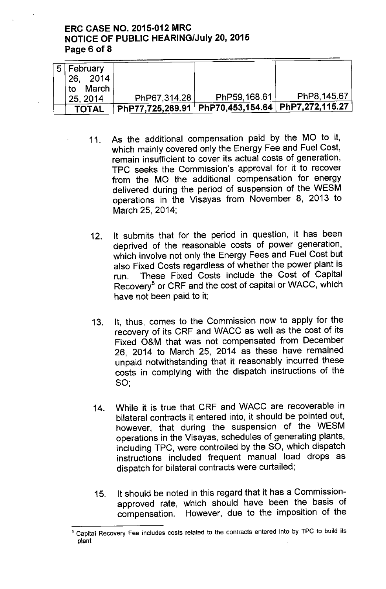## **ERC CASE NO. 2015-012 MRC NOTICE OF PUBLIC HEARING/July 20,2015 Page 6 of 8**

| ⊤5 February  |              |                                                              |              |
|--------------|--------------|--------------------------------------------------------------|--------------|
| 26, 2014     |              |                                                              |              |
| March<br>to  |              |                                                              |              |
| 25, 2014     | PhP67,314.28 | PhP59,168.61                                                 | PhP8, 145.67 |
|              |              | $\mid$ PhP77,725,269.91   PhP70,453,154.64   PhP7,272,115.27 |              |
| <b>TOTAL</b> |              |                                                              |              |

- 11. As the additional compensation paid by the MO to it, which mainly covered only the Energy Fee and Fuel Cost, remain insufficient to cover its actual costs of generation, TPC seeks the Commission's approval for it to recover from the MO the additional compensation for energy delivered during the period of suspension of the WE5M operations in the Visayas from November 8, 2013 to March 25, 2014;
- 12. It submits that for the period in question, it has been deprived of the reasonable costs of power generation, which involve not only the Energy Fees and Fuel Cost but also Fixed Costs regardless of whether the power plant is run. These Fixed Costs include the Cost of Capital Recovery<sup>5</sup> or CRF and the cost of capital or WACC, which have not been paid to it;
- 13. It, thus, comes to the Commission now to apply for the recovery of its CRF and WACC as well as the cost of its Fixed O&M that was not compensated from December 26, 2014 to March 25, 2014 as these have remained unpaid notwithstanding that it reasonably incurred these costs in complying with the dispatch instructions of the SO;
- 14. While it is true that CRF and WACC are recoverable in bilateral contracts it entered into, it should be pointed out, however, that during the suspension of the WE5M operations in the Visayas, schedules of generating plants, including TPC, were controlled by the SO, which dispatch instructions included frequent manual load drops as dispatch for bilateral contracts were curtailed;
- 15. It should be noted in this regard that it has a Commissionapproved rate, which should have been the basis of compensation. However, due to the imposition of the

<sup>5</sup> Capital Recovery Fee includes costs related to the contracts entered into by TPC to build its plant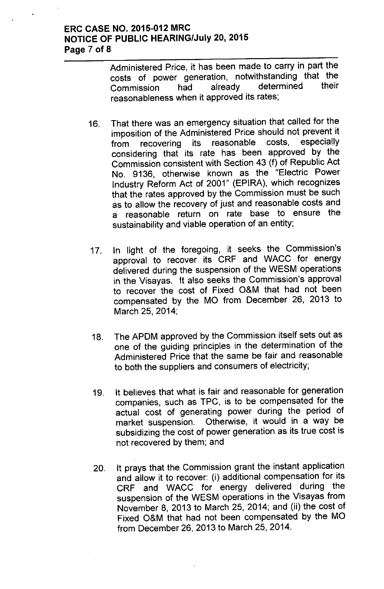## ERC CASE NO. 2015-012 MRC NOTICE OF PUBLIC HEARING/July 20, 2015 Page 7 of 8

Administered Price, it has been made to carry in part the costs of power generation, notwithstanding that the Commission had already determined their reasonableness when it approved its rates;

- 16. That there was an emergency situation that called for the imposition of the Administered Price should not prevent it from recovering its reasonable costs, considering that its rate has been approved by the Commission consistent with Section 43 (f) of Republic Act No. 9136, otherwise known as the "Electric Power Industry Reform Act of 2001" (EPIRA), which recognizes that the rates approved by the Commission must be such as to allow the recovery of just and reasonable costs and a reasonable return on rate base to ensure the sustainability and viable operation of an entity;
- 17. In light of the foregoing, it seeks the Commission's approval to recover its CRF and WACC for energy delivered during the suspension of the WESM operations in the Visayas. It also seeks the Commission's approval to recover the cost of Fixed O&M that had not been compensated by the MO from December 26, 2013 to March 25,2014;
- 18. The APDM approved by the Commission itself sets out as one of the guiding principles in the determination of the Administered Price that the same be fair and reasonable to both the suppliers and consumers of electricity;
- 19. It believes that what is fair and reasonable for generation companies, such as TPC, is to be compensated for the actual cost of generating power during the period of market suspension. Otherwise, it would in a way be subsidizing the cost of power generation as its true cost is not recovered by them; and
- 20. It prays that the Commission grant the instant application and allow it to recover: (i) additional compensation for its CRF and WACC for energy delivered during the suspension of the WESM operations in the Visayas from November 8,2013 to March 25, 2014; and (ii) the cost of Fixed O&M that had not been compensated by the MO from December 26,2013 to March 25, 2014.